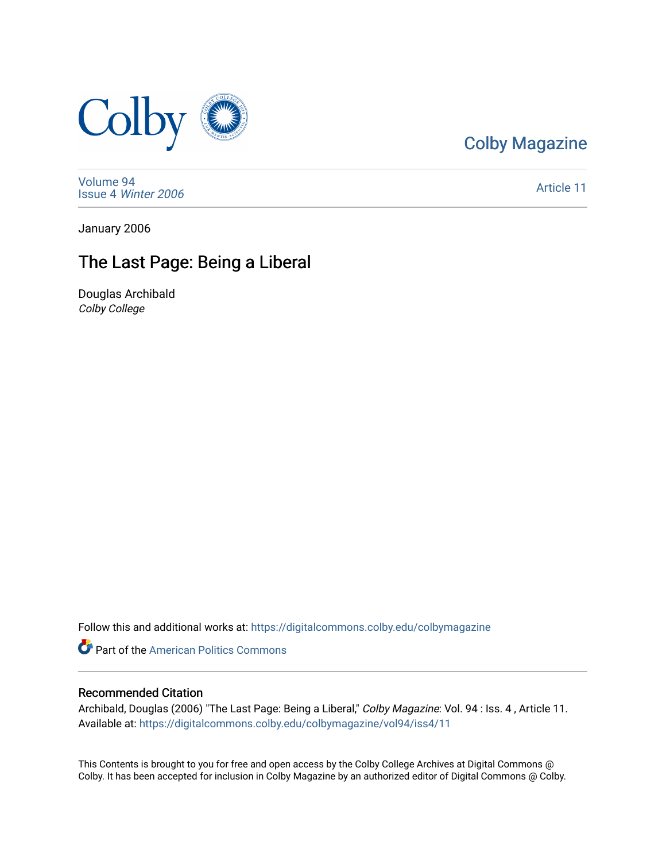

[Colby Magazine](https://digitalcommons.colby.edu/colbymagazine) 

[Volume 94](https://digitalcommons.colby.edu/colbymagazine/vol94) Issue 4 [Winter 2006](https://digitalcommons.colby.edu/colbymagazine/vol94/iss4) 

[Article 11](https://digitalcommons.colby.edu/colbymagazine/vol94/iss4/11) 

January 2006

### The Last Page: Being a Liberal

Douglas Archibald Colby College

Follow this and additional works at: [https://digitalcommons.colby.edu/colbymagazine](https://digitalcommons.colby.edu/colbymagazine?utm_source=digitalcommons.colby.edu%2Fcolbymagazine%2Fvol94%2Fiss4%2F11&utm_medium=PDF&utm_campaign=PDFCoverPages)

**Part of the American Politics Commons** 

#### Recommended Citation

Archibald, Douglas (2006) "The Last Page: Being a Liberal," Colby Magazine: Vol. 94 : Iss. 4, Article 11. Available at: [https://digitalcommons.colby.edu/colbymagazine/vol94/iss4/11](https://digitalcommons.colby.edu/colbymagazine/vol94/iss4/11?utm_source=digitalcommons.colby.edu%2Fcolbymagazine%2Fvol94%2Fiss4%2F11&utm_medium=PDF&utm_campaign=PDFCoverPages) 

This Contents is brought to you for free and open access by the Colby College Archives at Digital Commons @ Colby. It has been accepted for inclusion in Colby Magazine by an authorized editor of Digital Commons @ Colby.